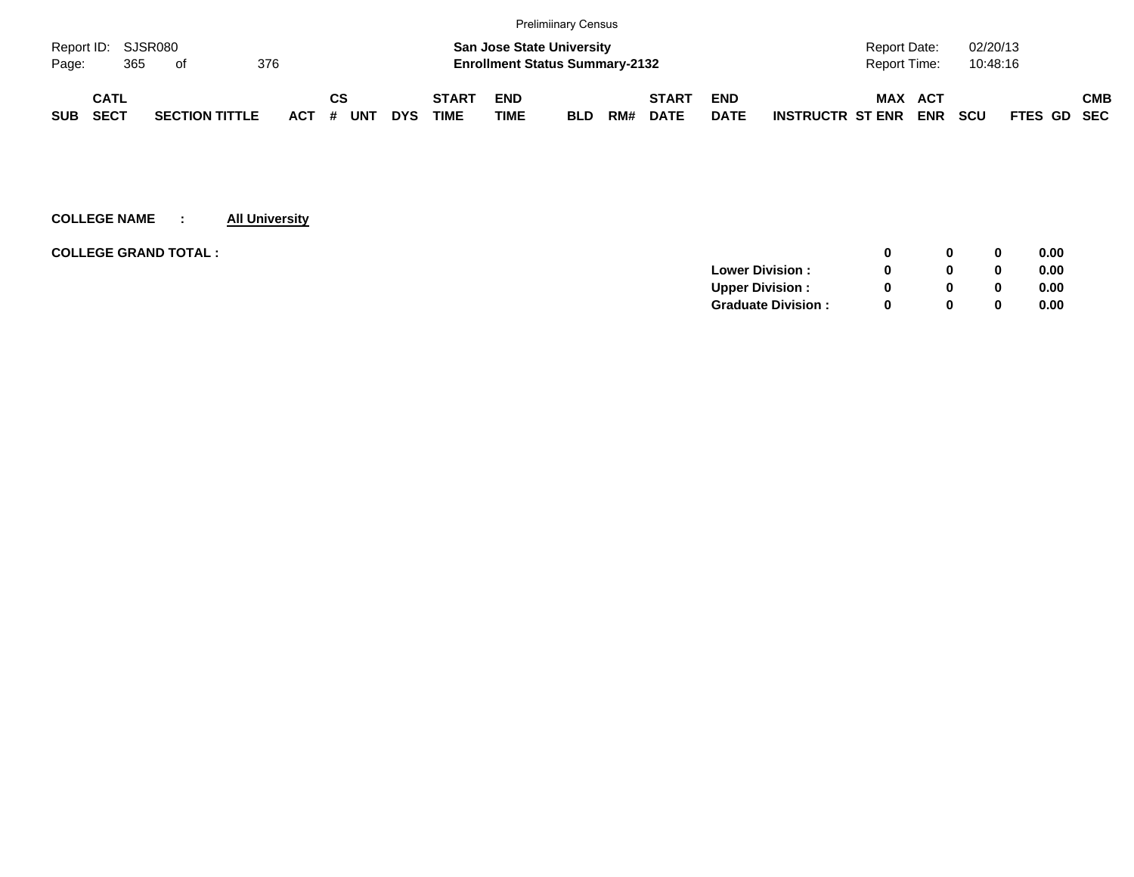|            |                    |     |                       |     |            |     |            |            |              |                                       | <b>Prelimiinary Census</b> |     |              |             |                         |              |            |            |             |            |
|------------|--------------------|-----|-----------------------|-----|------------|-----|------------|------------|--------------|---------------------------------------|----------------------------|-----|--------------|-------------|-------------------------|--------------|------------|------------|-------------|------------|
|            | Report ID: SJSR080 |     |                       |     |            |     |            |            |              | <b>San Jose State University</b>      |                            |     |              |             |                         | Report Date: |            | 02/20/13   |             |            |
| Page:      |                    | 365 | of                    | 376 |            |     |            |            |              | <b>Enrollment Status Summary-2132</b> |                            |     |              |             |                         | Report Time: |            | 10:48:16   |             |            |
|            | <b>CATL</b>        |     |                       |     |            | СS  |            |            | <b>START</b> | <b>END</b>                            |                            |     | <b>START</b> | <b>END</b>  |                         | <b>MAX</b>   | <b>ACT</b> |            |             | <b>CMB</b> |
| <b>SUB</b> | <b>SECT</b>        |     | <b>SECTION TITTLE</b> |     | <b>ACT</b> | $+$ | <b>UNT</b> | <b>DYS</b> | <b>TIME</b>  | TIME                                  | <b>BLD</b>                 | RM# | <b>DATE</b>  | <b>DATE</b> | <b>INSTRUCTR ST ENR</b> |              | <b>ENR</b> | <b>SCU</b> | FTES GD SEC |            |

| <b>COLLEGE GRAND TOTAL :</b> |                           |  | 0 | 0.00 |
|------------------------------|---------------------------|--|---|------|
|                              | <b>Lower Division:</b>    |  |   | 0.00 |
|                              | <b>Upper Division:</b>    |  | 0 | 0.00 |
|                              | <b>Graduate Division:</b> |  | 0 | 0.00 |
|                              |                           |  |   |      |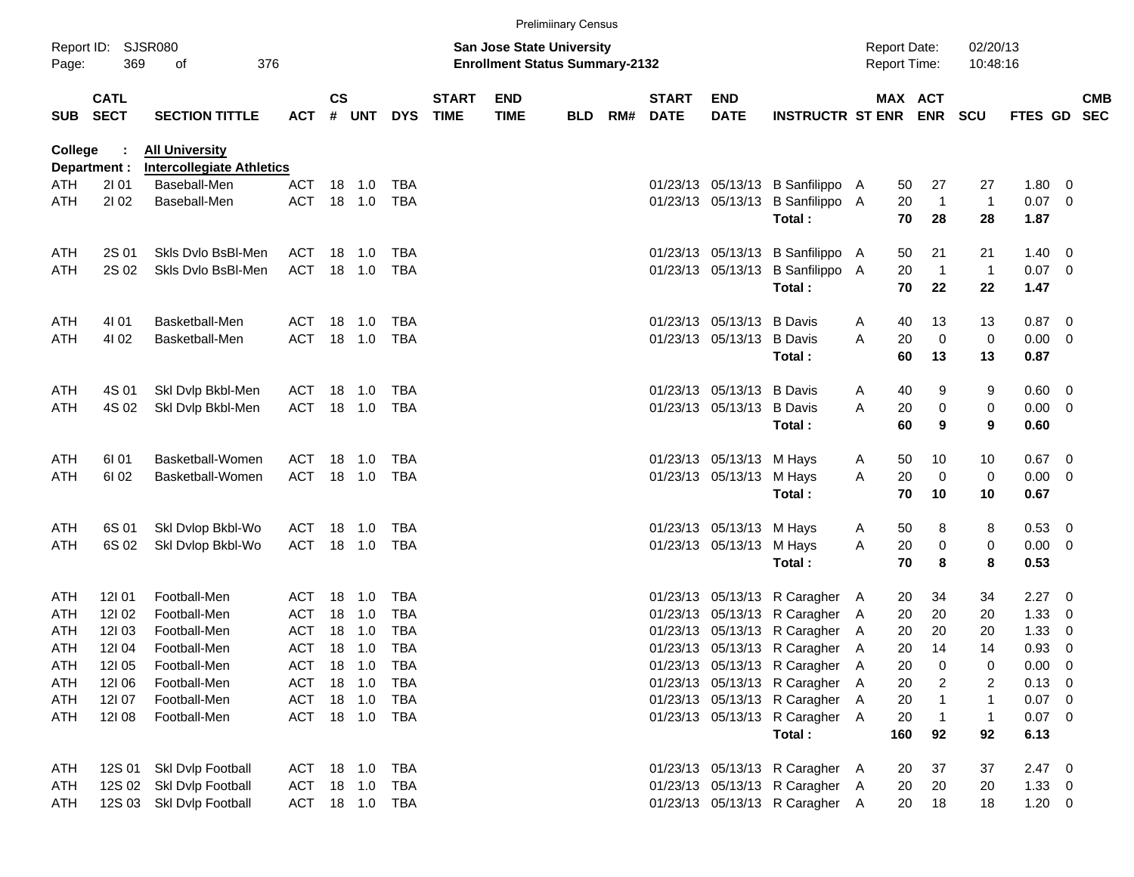|            |                            |                                  |                   |               |                  |                   |                             |                                                                           | <b>Prelimiinary Census</b> |     |                             |                           |                                                                      |   |                                            |                      |                      |                  |                          |                          |
|------------|----------------------------|----------------------------------|-------------------|---------------|------------------|-------------------|-----------------------------|---------------------------------------------------------------------------|----------------------------|-----|-----------------------------|---------------------------|----------------------------------------------------------------------|---|--------------------------------------------|----------------------|----------------------|------------------|--------------------------|--------------------------|
| Page:      | Report ID: SJSR080<br>369  | of<br>376                        |                   |               |                  |                   |                             | <b>San Jose State University</b><br><b>Enrollment Status Summary-2132</b> |                            |     |                             |                           |                                                                      |   | <b>Report Date:</b><br><b>Report Time:</b> |                      | 02/20/13<br>10:48:16 |                  |                          |                          |
| SUB        | <b>CATL</b><br><b>SECT</b> | <b>SECTION TITTLE</b>            | <b>ACT</b>        | $\mathsf{cs}$ | # UNT            | <b>DYS</b>        | <b>START</b><br><b>TIME</b> | <b>END</b><br><b>TIME</b>                                                 | <b>BLD</b>                 | RM# | <b>START</b><br><b>DATE</b> | <b>END</b><br><b>DATE</b> | <b>INSTRUCTR ST ENR</b>                                              |   | MAX ACT<br><b>ENR</b>                      | <b>SCU</b>           |                      | <b>FTES GD</b>   |                          | <b>CMB</b><br><b>SEC</b> |
| College    |                            | <b>All University</b>            |                   |               |                  |                   |                             |                                                                           |                            |     |                             |                           |                                                                      |   |                                            |                      |                      |                  |                          |                          |
|            | Department :               | <b>Intercollegiate Athletics</b> |                   |               |                  |                   |                             |                                                                           |                            |     |                             |                           |                                                                      |   |                                            |                      |                      |                  |                          |                          |
| ATH<br>ATH | 2101<br>2102               | Baseball-Men<br>Baseball-Men     | ACT<br><b>ACT</b> |               | 18 1.0<br>18 1.0 | TBA<br><b>TBA</b> |                             |                                                                           |                            |     |                             |                           | 01/23/13 05/13/13 B Sanfilippo A<br>01/23/13 05/13/13 B Sanfilippo A |   | 50<br>20                                   | 27<br>$\overline{1}$ | 27<br>$\mathbf{1}$   | 1.80<br>$0.07$ 0 | - 0                      |                          |
|            |                            |                                  |                   |               |                  |                   |                             |                                                                           |                            |     |                             |                           | Total:                                                               |   | 70                                         | 28                   | 28                   | 1.87             |                          |                          |
| ATH        | 2S 01                      | Skls Dvlo BsBI-Men               | ACT               |               | 18 1.0           | TBA               |                             |                                                                           |                            |     |                             |                           | 01/23/13 05/13/13 B Sanfilippo A                                     |   | 50                                         | 21                   | 21                   | 1.40             | $\overline{\phantom{0}}$ |                          |
| ATH        | 2S 02                      | Skls Dvlo BsBI-Men               | <b>ACT</b>        |               | 18 1.0           | <b>TBA</b>        |                             |                                                                           |                            |     |                             |                           | 01/23/13 05/13/13 B Sanfilippo A                                     |   | 20                                         | $\overline{1}$       | $\mathbf{1}$         | $0.07$ 0         |                          |                          |
|            |                            |                                  |                   |               |                  |                   |                             |                                                                           |                            |     |                             |                           | Total:                                                               |   | 70                                         | 22                   | 22                   | 1.47             |                          |                          |
| ATH        | 4101                       | Basketball-Men                   | <b>ACT</b>        |               | 18 1.0           | TBA               |                             |                                                                           |                            |     |                             | 01/23/13 05/13/13 B Davis |                                                                      | A | 40                                         | 13                   | 13                   | $0.87$ 0         |                          |                          |
| ATH        | 4102                       | Basketball-Men                   | <b>ACT</b>        |               | 18 1.0           | <b>TBA</b>        |                             |                                                                           |                            |     |                             | 01/23/13 05/13/13 B Davis |                                                                      | A | 20                                         | $\mathbf 0$          | 0                    | 0.00             | $\overline{\phantom{0}}$ |                          |
|            |                            |                                  |                   |               |                  |                   |                             |                                                                           |                            |     |                             |                           | Total:                                                               |   | 60                                         | 13                   | 13                   | 0.87             |                          |                          |
| ATH        | 4S 01                      | Skl Dvlp Bkbl-Men                | <b>ACT</b>        | 18            | 1.0              | TBA               |                             |                                                                           |                            |     |                             | 01/23/13 05/13/13 B Davis |                                                                      | A | 40                                         | 9                    | 9                    | 0.60             | $\overline{\phantom{0}}$ |                          |
| ATH        | 4S 02                      | Skl Dvlp Bkbl-Men                | <b>ACT</b>        |               | 18 1.0           | TBA               |                             |                                                                           |                            |     |                             | 01/23/13 05/13/13 B Davis |                                                                      | A | 20                                         | $\pmb{0}$            | $\pmb{0}$            | 0.00             | $\overline{\mathbf{0}}$  |                          |
|            |                            |                                  |                   |               |                  |                   |                             |                                                                           |                            |     |                             |                           | Total:                                                               |   | 60                                         | 9                    | 9                    | 0.60             |                          |                          |
| ATH        | 61 01                      | Basketball-Women                 | <b>ACT</b>        |               | 18 1.0           | TBA               |                             |                                                                           |                            |     |                             | 01/23/13 05/13/13 M Hays  |                                                                      | A | 50                                         | 10                   | 10                   | $0.67$ 0         |                          |                          |
| ATH        | 6102                       | Basketball-Women                 | <b>ACT</b>        |               | 18 1.0           | TBA               |                             |                                                                           |                            |     |                             | 01/23/13 05/13/13 M Hays  |                                                                      | Α | 20                                         | $\mathbf 0$          | 0                    | 0.00             | $\overline{\phantom{0}}$ |                          |
|            |                            |                                  |                   |               |                  |                   |                             |                                                                           |                            |     |                             |                           | Total:                                                               |   | 70                                         | 10                   | 10                   | 0.67             |                          |                          |
| ATH        | 6S 01                      | Skl Dvlop Bkbl-Wo                | <b>ACT</b>        | 18            | 1.0              | TBA               |                             |                                                                           |                            |     |                             | 01/23/13 05/13/13 M Hays  |                                                                      | A | 50                                         | 8                    | 8                    | 0.53 0           |                          |                          |
| ATH        | 6S 02                      | Skl Dvlop Bkbl-Wo                | <b>ACT</b>        |               | 18 1.0           | TBA               |                             |                                                                           |                            |     |                             | 01/23/13 05/13/13 M Hays  |                                                                      | Α | 20                                         | $\pmb{0}$            | 0                    | $0.00 \t 0$      |                          |                          |
|            |                            |                                  |                   |               |                  |                   |                             |                                                                           |                            |     |                             |                           | Total:                                                               |   | 70                                         | 8                    | 8                    | 0.53             |                          |                          |
| ATH        | 12101                      | Football-Men                     | <b>ACT</b>        | 18            | 1.0              | <b>TBA</b>        |                             |                                                                           |                            |     |                             |                           | 01/23/13 05/13/13 R Caragher A                                       |   | 20                                         | 34                   | 34                   | $2.27 \t 0$      |                          |                          |
| ATH        | 121 02                     | Football-Men                     | ACT               |               | 18 1.0           | <b>TBA</b>        |                             |                                                                           |                            |     |                             |                           | 01/23/13 05/13/13 R Caragher A                                       |   | 20                                         | 20                   | 20                   | 1.33             | 0                        |                          |
| ATH        | 12103                      | Football-Men                     | <b>ACT</b>        | 18            | 1.0              | <b>TBA</b>        |                             |                                                                           |                            |     |                             |                           | 01/23/13 05/13/13 R Caragher A                                       |   | 20                                         | 20                   | 20                   | 1.33             | 0                        |                          |
| ATH        | 12104                      | Football-Men                     | ACT               |               | 18 1.0           | <b>TBA</b>        |                             |                                                                           |                            |     |                             |                           | 01/23/13 05/13/13 R Caragher A                                       |   | 20                                         | 14                   | 14                   | 0.93             | 0                        |                          |
| ATH        | <b>12I 05</b>              | Football-Men                     | <b>ACT</b>        |               | 18 1.0           | TBA               |                             |                                                                           |                            |     |                             |                           | 01/23/13 05/13/13 R Caragher A                                       |   | 20                                         | 0                    | 0                    | 0.00             | $\overline{\phantom{0}}$ |                          |
| ATH        | 121 06                     | Football-Men                     | ACT               |               | 18 1.0           | TBA               |                             |                                                                           |                            |     |                             |                           | 01/23/13 05/13/13 R Caragher A                                       |   | 20                                         | 2                    | 2                    | $0.13 \ 0$       |                          |                          |
| ATH        | 12107                      | Football-Men                     | <b>ACT</b>        |               | 18 1.0           | TBA               |                             |                                                                           |                            |     |                             |                           | 01/23/13 05/13/13 R Caragher A                                       |   | 20                                         | $\mathbf 1$          | 1                    | $0.07$ 0         |                          |                          |
| ATH        | 12108                      | Football-Men                     | <b>ACT</b>        |               |                  | 18 1.0 TBA        |                             |                                                                           |                            |     |                             |                           | 01/23/13 05/13/13 R Caragher A                                       |   | 20                                         | $\overline{1}$       | $\mathbf{1}$         | $0.07$ 0         |                          |                          |
|            |                            |                                  |                   |               |                  |                   |                             |                                                                           |                            |     |                             |                           | Total:                                                               |   | 160                                        | 92                   | 92                   | 6.13             |                          |                          |
| ATH        | 12S 01                     | Skl Dvlp Football                | ACT 18 1.0        |               |                  | TBA               |                             |                                                                           |                            |     |                             |                           | 01/23/13 05/13/13 R Caragher A                                       |   | 20                                         | 37                   | 37                   | $2.47\ 0$        |                          |                          |
| ATH        | 12S 02                     | Skl Dvlp Football                | ACT               |               | 18  1.0          | TBA               |                             |                                                                           |                            |     |                             |                           | 01/23/13 05/13/13 R Caragher A                                       |   | 20                                         | 20                   | 20                   | $1.33 \ 0$       |                          |                          |
| ATH        |                            | 12S 03 Skl Dvlp Football         |                   |               |                  | ACT 18 1.0 TBA    |                             |                                                                           |                            |     |                             |                           | 01/23/13 05/13/13 R Caragher A                                       |   | 20                                         | 18                   | 18                   | $1.20 \t 0$      |                          |                          |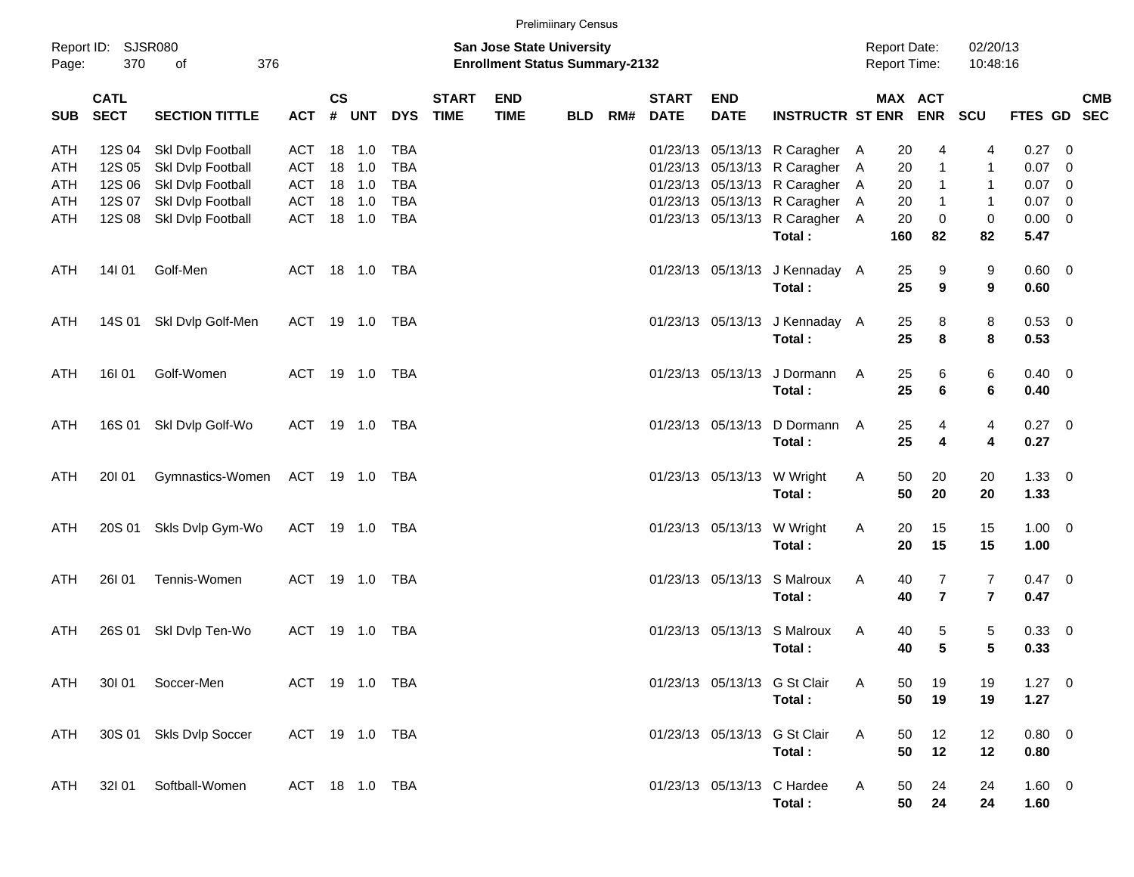| <b>Prelimiinary Census</b> |  |
|----------------------------|--|
|----------------------------|--|

| Page:      | Report ID: SJSR080<br>370  | 376<br>οf                       |                |               |                |            |                             | San Jose State University<br><b>Enrollment Status Summary-2132</b> |            |     |                             |                           |                                |   | <b>Report Date:</b><br><b>Report Time:</b> |                | 02/20/13<br>10:48:16 |                |            |
|------------|----------------------------|---------------------------------|----------------|---------------|----------------|------------|-----------------------------|--------------------------------------------------------------------|------------|-----|-----------------------------|---------------------------|--------------------------------|---|--------------------------------------------|----------------|----------------------|----------------|------------|
| <b>SUB</b> | <b>CATL</b><br><b>SECT</b> | <b>SECTION TITTLE</b>           |                | $\mathsf{cs}$ | ACT # UNT      | <b>DYS</b> | <b>START</b><br><b>TIME</b> | <b>END</b><br><b>TIME</b>                                          | <b>BLD</b> | RM# | <b>START</b><br><b>DATE</b> | <b>END</b><br><b>DATE</b> | <b>INSTRUCTR ST ENR ENR</b>    |   | MAX ACT                                    |                | SCU                  | FTES GD SEC    | <b>CMB</b> |
| <b>ATH</b> | 12S 04                     | Skl Dvlp Football               | ACT            |               | 18 1.0         | <b>TBA</b> |                             |                                                                    |            |     |                             |                           | 01/23/13 05/13/13 R Caragher A |   | 20                                         | 4              | 4                    | $0.27$ 0       |            |
| ATH        | 12S 05                     | Skl Dvlp Football               | <b>ACT</b>     |               | 18 1.0         | <b>TBA</b> |                             |                                                                    |            |     |                             |                           | 01/23/13 05/13/13 R Caragher A |   | 20                                         | $\mathbf{1}$   | $\mathbf{1}$         | $0.07$ 0       |            |
| ATH        | 12S 06                     | Skl Dvlp Football               | ACT            |               | 18 1.0         | <b>TBA</b> |                             |                                                                    |            |     |                             |                           | 01/23/13 05/13/13 R Caragher A |   | 20                                         | 1              | $\mathbf{1}$         | $0.07$ 0       |            |
| ATH        | 12S 07                     | Skl Dvlp Football               | <b>ACT</b>     |               | 18 1.0         | <b>TBA</b> |                             |                                                                    |            |     |                             |                           | 01/23/13 05/13/13 R Caragher A |   | 20                                         | $\mathbf{1}$   | $\mathbf{1}$         | $0.07$ 0       |            |
| ATH        | 12S 08                     | Skl Dvlp Football               | ACT            |               | 18 1.0         | TBA        |                             |                                                                    |            |     |                             |                           | 01/23/13 05/13/13 R Caragher A |   | 20                                         | $\mathbf 0$    | $\pmb{0}$            | $0.00 \t 0$    |            |
|            |                            |                                 |                |               |                |            |                             |                                                                    |            |     |                             |                           | Total:                         |   | 160                                        | 82             | 82                   | 5.47           |            |
| ATH        | 14101                      | Golf-Men                        |                |               | ACT 18 1.0 TBA |            |                             |                                                                    |            |     |                             |                           | 01/23/13 05/13/13 J Kennaday A |   | 25                                         | 9              | 9                    | $0.60 \quad 0$ |            |
|            |                            |                                 |                |               |                |            |                             |                                                                    |            |     |                             |                           | Total:                         |   | 25                                         | 9              | 9                    | 0.60           |            |
| ATH        | 14S 01                     | Skl Dvlp Golf-Men               |                |               | ACT 19 1.0 TBA |            |                             |                                                                    |            |     |                             |                           | 01/23/13 05/13/13 J Kennaday A |   | 25                                         | 8              | 8                    | $0.53$ 0       |            |
|            |                            |                                 |                |               |                |            |                             |                                                                    |            |     |                             |                           | Total:                         |   | 25                                         | 8              | 8                    | 0.53           |            |
| ATH        | 16I 01                     | Golf-Women                      |                |               | ACT 19 1.0 TBA |            |                             |                                                                    |            |     |                             |                           | 01/23/13 05/13/13 J Dormann    | A | 25                                         | 6              | 6                    | $0.40 \quad 0$ |            |
|            |                            |                                 |                |               |                |            |                             |                                                                    |            |     |                             |                           | Total:                         |   | 25                                         | 6              | 6                    | 0.40           |            |
| ATH        |                            | 16S 01 SkI Dvlp Golf-Wo         |                |               | ACT 19 1.0 TBA |            |                             |                                                                    |            |     |                             | 01/23/13 05/13/13         | D Dormann A                    |   | 25                                         | 4              | 4                    | $0.27$ 0       |            |
|            |                            |                                 |                |               |                |            |                             |                                                                    |            |     |                             |                           | Total:                         |   | 25                                         | 4              | 4                    | 0.27           |            |
| ATH        | 20101                      | Gymnastics-Women ACT 19 1.0 TBA |                |               |                |            |                             |                                                                    |            |     |                             |                           | 01/23/13 05/13/13 W Wright     | A | 50                                         | 20             | 20                   | $1.33 \ 0$     |            |
|            |                            |                                 |                |               |                |            |                             |                                                                    |            |     |                             |                           | Total:                         |   | 50                                         | 20             | 20                   | 1.33           |            |
| ATH        | 20S 01                     | Skls Dvlp Gym-Wo                |                |               | ACT 19 1.0 TBA |            |                             |                                                                    |            |     |                             |                           | 01/23/13 05/13/13 W Wright     | A | 20                                         | 15             | 15                   | $1.00 \t 0$    |            |
|            |                            |                                 |                |               |                |            |                             |                                                                    |            |     |                             |                           | Total:                         |   | 20                                         | 15             | 15                   | 1.00           |            |
| ATH        | <b>26101</b>               | Tennis-Women                    |                |               | ACT 19 1.0 TBA |            |                             |                                                                    |            |     |                             |                           | 01/23/13 05/13/13 S Malroux    | A | 40                                         | $\overline{7}$ | $\overline{7}$       | $0.47 \quad 0$ |            |
|            |                            |                                 |                |               |                |            |                             |                                                                    |            |     |                             |                           | Total:                         |   | 40                                         | $\overline{7}$ | $\overline{7}$       | 0.47           |            |
| ATH        | 26S 01                     | Skl Dvlp Ten-Wo                 | ACT            |               | 19 1.0         | TBA        |                             |                                                                    |            |     |                             |                           | 01/23/13 05/13/13 S Malroux    | A | 40                                         | 5              | $\sqrt{5}$           | 0.33 0         |            |
|            |                            |                                 |                |               |                |            |                             |                                                                    |            |     |                             |                           | Total:                         |   | 40                                         | 5              | 5                    | 0.33           |            |
| <b>ATH</b> | 30101                      | Soccer-Men                      |                |               | ACT 19 1.0 TBA |            |                             |                                                                    |            |     |                             |                           | 01/23/13 05/13/13 G St Clair   | Α | 50                                         | 19             | 19                   | $1.27 \t 0$    |            |
|            |                            |                                 |                |               |                |            |                             |                                                                    |            |     |                             |                           | Total:                         |   | 50                                         | 19             | 19                   | 1.27           |            |
| <b>ATH</b> |                            | 30S 01 Skls Dvlp Soccer         | ACT 19 1.0 TBA |               |                |            |                             |                                                                    |            |     |                             |                           | 01/23/13 05/13/13 G St Clair   | A | 50                                         | 12             | 12                   | 0.80 0         |            |
|            |                            |                                 |                |               |                |            |                             |                                                                    |            |     |                             |                           | Total:                         |   | 50                                         | 12             | 12                   | 0.80           |            |
| ATH        | 32101                      | Softball-Women                  | ACT 18 1.0 TBA |               |                |            |                             |                                                                    |            |     |                             |                           | 01/23/13 05/13/13 C Hardee     | A | 50                                         | 24             | 24                   | 1.60 0         |            |
|            |                            |                                 |                |               |                |            |                             |                                                                    |            |     |                             |                           | Total:                         |   | 50                                         | 24             | 24                   | 1.60           |            |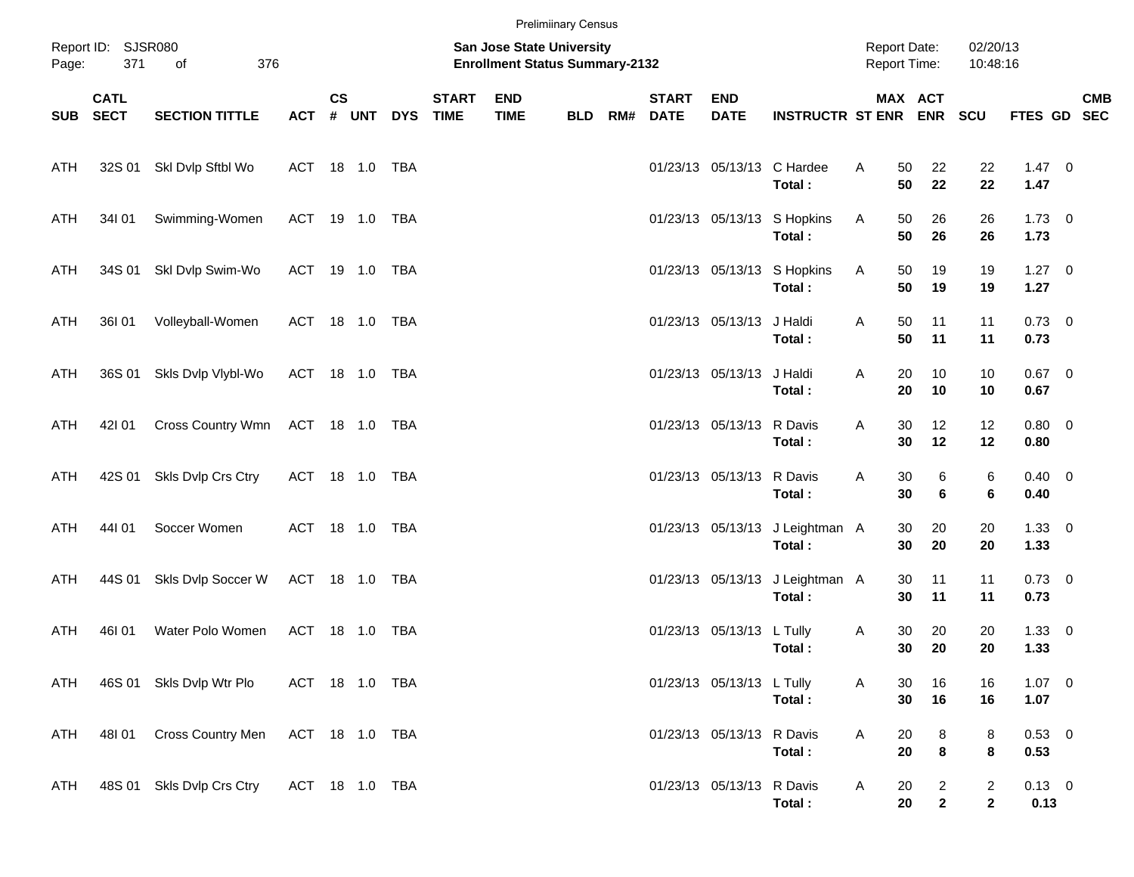|       |                            |                           |                |               |           |                             |                                                                    | <b>Prelimiinary Census</b> |     |                             |                           |                                           |                                            |                                |                                |                        |            |
|-------|----------------------------|---------------------------|----------------|---------------|-----------|-----------------------------|--------------------------------------------------------------------|----------------------------|-----|-----------------------------|---------------------------|-------------------------------------------|--------------------------------------------|--------------------------------|--------------------------------|------------------------|------------|
| Page: | Report ID: SJSR080<br>371  | of<br>376                 |                |               |           |                             | San Jose State University<br><b>Enrollment Status Summary-2132</b> |                            |     |                             |                           |                                           | <b>Report Date:</b><br><b>Report Time:</b> |                                | 02/20/13<br>10:48:16           |                        |            |
| SUB   | <b>CATL</b><br><b>SECT</b> | <b>SECTION TITTLE</b>     | <b>ACT</b>     | $\mathsf{cs}$ | # UNT DYS | <b>START</b><br><b>TIME</b> | <b>END</b><br><b>TIME</b>                                          | <b>BLD</b>                 | RM# | <b>START</b><br><b>DATE</b> | <b>END</b><br><b>DATE</b> | <b>INSTRUCTR ST ENR ENR</b>               |                                            | MAX ACT                        | <b>SCU</b>                     | FTES GD SEC            | <b>CMB</b> |
| ATH   |                            | 32S 01 SkI Dvlp Sftbl Wo  | ACT 18 1.0 TBA |               |           |                             |                                                                    |                            |     |                             |                           | 01/23/13 05/13/13 C Hardee<br>Total:      | A<br>50<br>50                              | 22<br>22                       | 22<br>22                       | $1.47 \quad 0$<br>1.47 |            |
| ATH   | 34101                      | Swimming-Women            | ACT 19 1.0 TBA |               |           |                             |                                                                    |                            |     |                             |                           | 01/23/13 05/13/13 S Hopkins<br>Total:     | 50<br>Α<br>50                              | 26<br>26                       | 26<br>26                       | $1.73 \t 0$<br>1.73    |            |
| ATH   |                            | 34S 01 Skl Dvlp Swim-Wo   | ACT 19 1.0 TBA |               |           |                             |                                                                    |                            |     |                             |                           | 01/23/13 05/13/13 S Hopkins<br>Total:     | Α<br>50<br>50                              | 19<br>19                       | 19<br>19                       | $1.27 \t 0$<br>1.27    |            |
| ATH   | 36I 01                     | Volleyball-Women          | ACT 18 1.0 TBA |               |           |                             |                                                                    |                            |     |                             | 01/23/13 05/13/13         | J Haldi<br>Total:                         | Α<br>50<br>50                              | 11<br>11                       | 11<br>11                       | $0.73 \quad 0$<br>0.73 |            |
| ATH   | 36S 01                     | Skls Dvlp Vlybl-Wo        | ACT 18 1.0 TBA |               |           |                             |                                                                    |                            |     |                             | 01/23/13 05/13/13 J Haldi | Total:                                    | Α<br>20<br>20                              | 10<br>10                       | 10<br>10                       | $0.67$ 0<br>0.67       |            |
| ATH   | 42101                      | Cross Country Wmn         | ACT 18 1.0 TBA |               |           |                             |                                                                    |                            |     |                             | 01/23/13 05/13/13 R Davis | Total:                                    | Α<br>30<br>30                              | 12<br>12                       | 12<br>12                       | $0.80 \ 0$<br>0.80     |            |
| ATH   | 42S 01                     | Skls Dvlp Crs Ctry        | ACT 18 1.0 TBA |               |           |                             |                                                                    |                            |     |                             | 01/23/13 05/13/13 R Davis | Total:                                    | Α<br>30<br>30                              | 6<br>6                         | $\,6$<br>6                     | $0.40 \quad 0$<br>0.40 |            |
| ATH   | 44101                      | Soccer Women              | ACT 18 1.0 TBA |               |           |                             |                                                                    |                            |     |                             |                           | 01/23/13 05/13/13 J Leightman A<br>Total: | 30<br>30                                   | 20<br>20                       | 20<br>20                       | $1.33 \ 0$<br>1.33     |            |
| ATH   | 44S 01                     | Skls Dvlp Soccer W        | ACT 18 1.0 TBA |               |           |                             |                                                                    |                            |     |                             | 01/23/13 05/13/13         | J Leightman A<br>Total:                   | 30<br>30                                   | 11<br>11                       | 11<br>11                       | $0.73 \quad 0$<br>0.73 |            |
| ATH   | 46I 01                     | Water Polo Women          | ACT 18 1.0 TBA |               |           |                             |                                                                    |                            |     |                             | 01/23/13 05/13/13 L Tully | Total:                                    | Α<br>30<br>30                              | 20<br>20                       | 20<br>20                       | $1.33 \ 0$<br>1.33     |            |
| ATH   |                            | 46S 01 Skls Dvlp Wtr Plo  | ACT 18 1.0 TBA |               |           |                             |                                                                    |                            |     |                             | 01/23/13 05/13/13 L Tully | Total:                                    | Α<br>30<br>30                              | 16<br>16                       | 16<br>16                       | $1.07 \t 0$<br>1.07    |            |
| ATH   | 48I 01                     | Cross Country Men         | ACT 18 1.0 TBA |               |           |                             |                                                                    |                            |     |                             | 01/23/13 05/13/13 R Davis | Total:                                    | Α<br>20<br>20                              | 8<br>8                         | 8<br>8                         | $0.53 \t 0$<br>0.53    |            |
| ATH   |                            | 48S 01 Skls Dvlp Crs Ctry | ACT 18 1.0 TBA |               |           |                             |                                                                    |                            |     |                             | 01/23/13 05/13/13 R Davis | Total:                                    | A<br>20<br>20                              | $\overline{a}$<br>$\mathbf{2}$ | $\overline{a}$<br>$\mathbf{2}$ | $0.13 \ 0$<br>0.13     |            |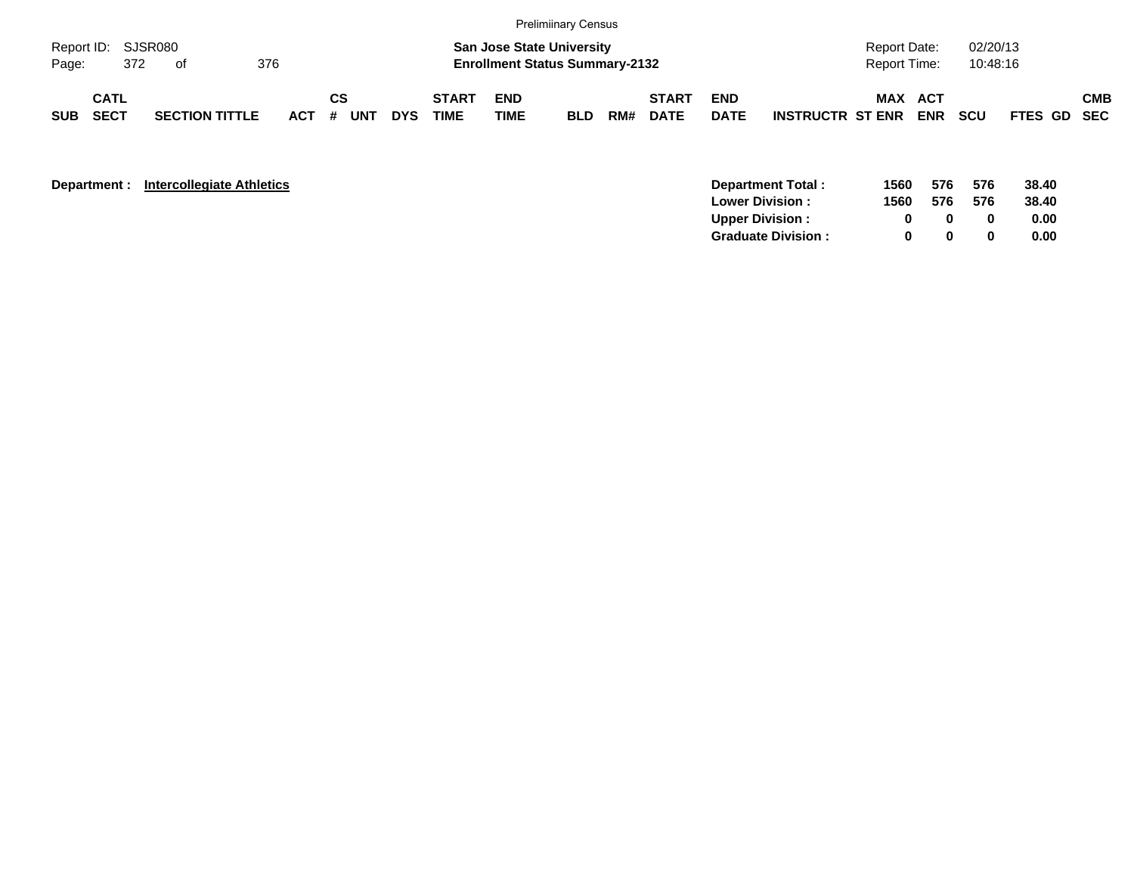|                             |                            |     |    |                       |     |         |    |     |            |                             |                           | <b>Prelimiinary Census</b>                                                |     |                             |                           |                         |                                     |            |                      |             |            |
|-----------------------------|----------------------------|-----|----|-----------------------|-----|---------|----|-----|------------|-----------------------------|---------------------------|---------------------------------------------------------------------------|-----|-----------------------------|---------------------------|-------------------------|-------------------------------------|------------|----------------------|-------------|------------|
| Report ID: SJSR080<br>Page: |                            | 372 | of |                       | 376 |         |    |     |            |                             |                           | <b>San Jose State University</b><br><b>Enrollment Status Summary-2132</b> |     |                             |                           |                         | <b>Report Date:</b><br>Report Time: |            | 02/20/13<br>10:48:16 |             |            |
| <b>SUB</b>                  | <b>CATL</b><br><b>SECT</b> |     |    | <b>SECTION TITTLE</b> |     | $ACT$ # | СS | UNT | <b>DYS</b> | <b>START</b><br><b>TIME</b> | <b>END</b><br><b>TIME</b> | <b>BLD</b>                                                                | RM# | <b>START</b><br><b>DATE</b> | <b>END</b><br><b>DATE</b> | <b>INSTRUCTR ST ENR</b> | <b>MAX ACT</b>                      | <b>ENR</b> | <b>SCU</b>           | FTES GD SEC | <b>CMB</b> |

| Department : | <b>Intercollegiate Athletics</b> |
|--------------|----------------------------------|
|--------------|----------------------------------|

| <b>Department:</b> | <b>Intercollegiate Athletics</b> | Department Total:         | 1560 | 576 | 576 | 38.40 |
|--------------------|----------------------------------|---------------------------|------|-----|-----|-------|
|                    |                                  | <b>Lower Division:</b>    | 1560 | 576 | 576 | 38.40 |
|                    |                                  | <b>Upper Division:</b>    |      |     |     | 0.00  |
|                    |                                  | <b>Graduate Division:</b> |      |     |     | 0.00  |
|                    |                                  |                           |      |     |     |       |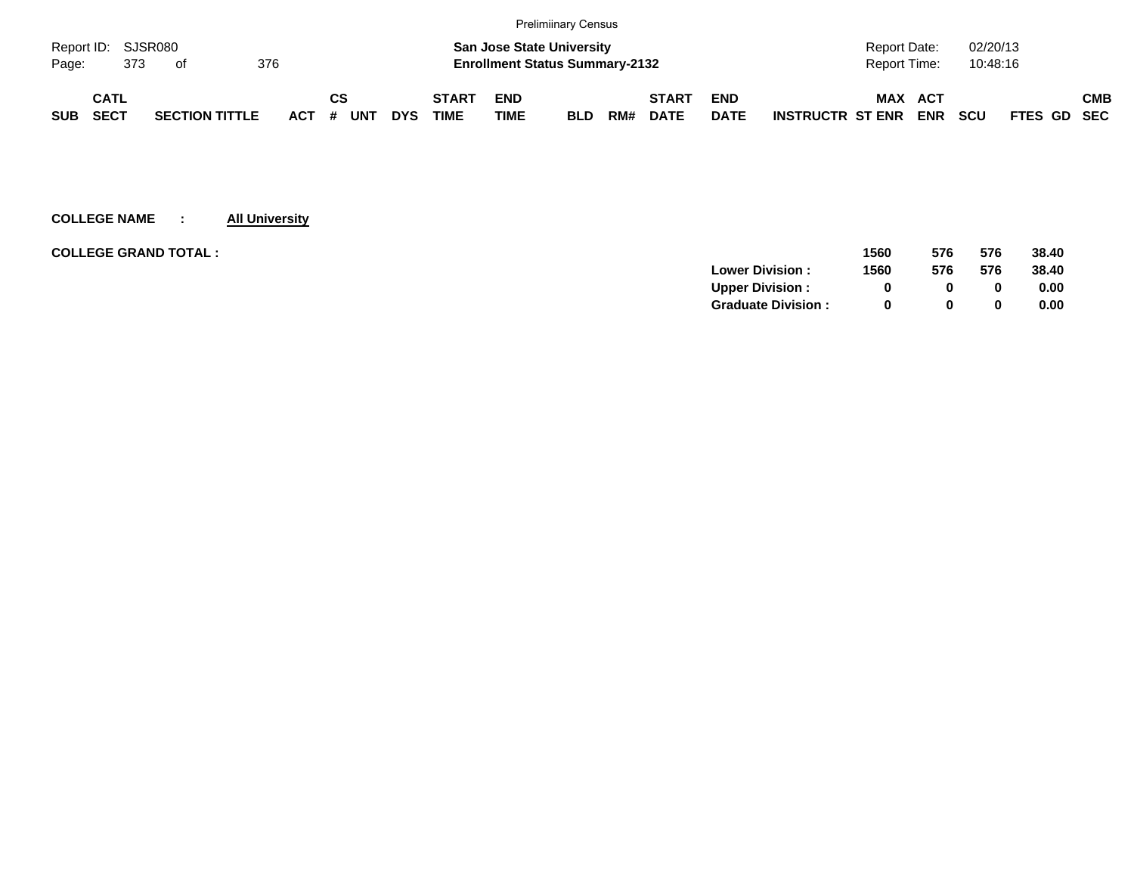|                    |             |     |                       |     |            |    |            |            |              |             | <b>Prelimiinary Census</b>            |     |              |             |                         |              |            |            |             |            |
|--------------------|-------------|-----|-----------------------|-----|------------|----|------------|------------|--------------|-------------|---------------------------------------|-----|--------------|-------------|-------------------------|--------------|------------|------------|-------------|------------|
| Report ID: SJSR080 |             |     |                       |     |            |    |            |            |              |             | <b>San Jose State University</b>      |     |              |             |                         | Report Date: |            | 02/20/13   |             |            |
| Page:              |             | 373 | of                    | 376 |            |    |            |            |              |             | <b>Enrollment Status Summary-2132</b> |     |              |             |                         | Report Time: |            | 10:48:16   |             |            |
|                    | <b>CATL</b> |     |                       |     |            | СS |            |            | <b>START</b> | <b>END</b>  |                                       |     | <b>START</b> | <b>END</b>  |                         | <b>MAX</b>   | ACT        |            |             | <b>CMB</b> |
| <b>SUB</b>         | <b>SECT</b> |     | <b>SECTION TITTLE</b> |     | <b>ACT</b> | #  | <b>UNT</b> | <b>DYS</b> | TIME         | <b>TIME</b> | <b>BLD</b>                            | RM# | <b>DATE</b>  | <b>DATE</b> | <b>INSTRUCTR ST ENR</b> |              | <b>ENR</b> | <b>SCU</b> | FTES GD SEC |            |

| <b>COLLEGE GRAND TOTAL :</b> |                           | 1560 | 576          | 576 | 38.40 |
|------------------------------|---------------------------|------|--------------|-----|-------|
|                              | <b>Lower Division:</b>    | 1560 | 576          | 576 | 38.40 |
|                              | <b>Upper Division:</b>    | 0    | O.           |     | 0.00  |
|                              | <b>Graduate Division:</b> | 0    | <sup>0</sup> |     | 0.00  |
|                              |                           |      |              |     |       |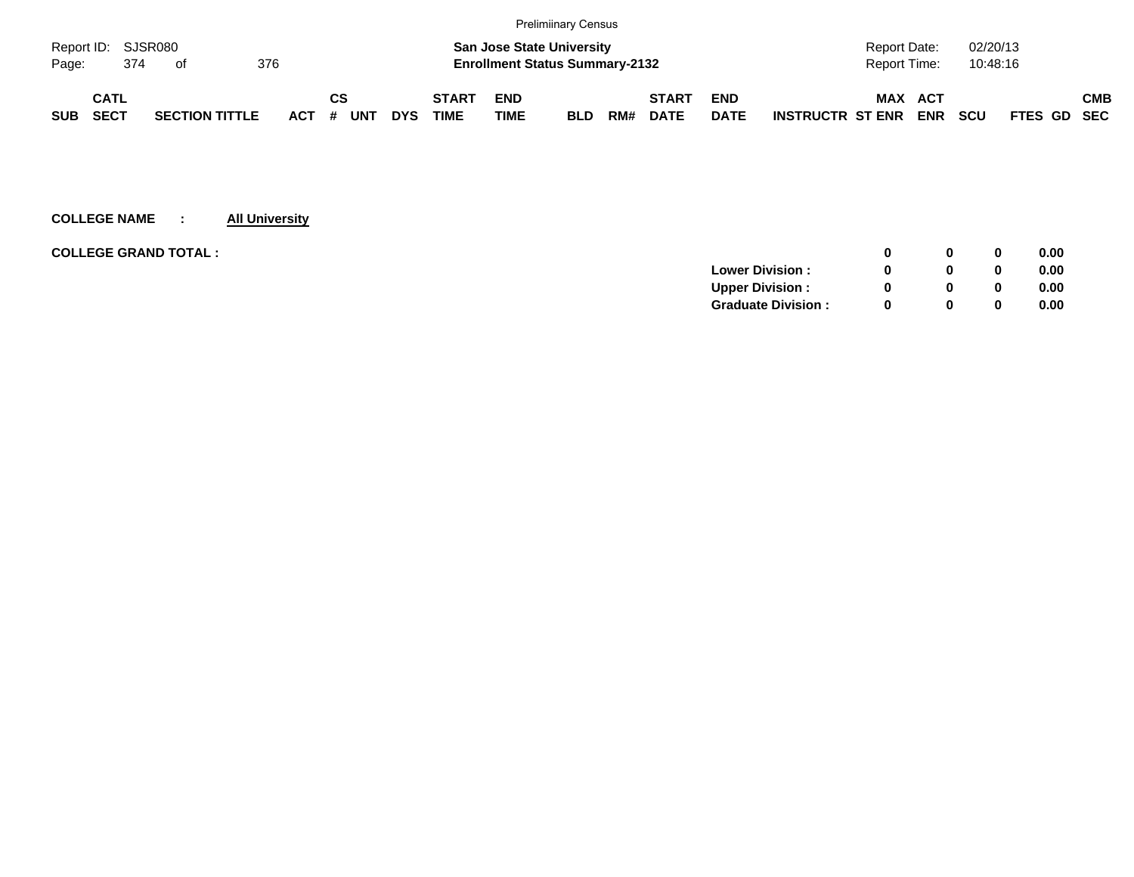|                             |                    |                       |  |         |    |            |            |              |             | <b>Prelimiinary Census</b>            |     |              |             |                         |              |            |            |                    |            |
|-----------------------------|--------------------|-----------------------|--|---------|----|------------|------------|--------------|-------------|---------------------------------------|-----|--------------|-------------|-------------------------|--------------|------------|------------|--------------------|------------|
|                             | Report ID: SJSR080 |                       |  |         |    |            |            |              |             | <b>San Jose State University</b>      |     |              |             |                         | Report Date: |            | 02/20/13   |                    |            |
| 376<br>Page:<br>374<br>- of |                    |                       |  |         |    |            |            |              |             | <b>Enrollment Status Summary-2132</b> |     |              |             |                         | Report Time: |            | 10:48:16   |                    |            |
|                             | <b>CATL</b>        |                       |  |         | СS |            |            | <b>START</b> | <b>END</b>  |                                       |     | <b>START</b> | <b>END</b>  |                         | MAX ACT      |            |            |                    | <b>CMB</b> |
| <b>SUB</b>                  | <b>SECT</b>        | <b>SECTION TITTLE</b> |  | $ACT$ # |    | <b>UNT</b> | <b>DYS</b> | <b>TIME</b>  | <b>TIME</b> | <b>BLD</b>                            | RM# | <b>DATE</b>  | <b>DATE</b> | <b>INSTRUCTR ST ENR</b> |              | <b>ENR</b> | <b>SCU</b> | <b>FTES GD SEC</b> |            |

|                           |              | 0 | 0.00 |
|---------------------------|--------------|---|------|
| <b>Lower Division:</b>    |              | 0 | 0.00 |
| <b>Upper Division:</b>    |              | 0 | 0.00 |
| <b>Graduate Division:</b> | <sup>0</sup> | 0 | 0.00 |
|                           |              |   |      |